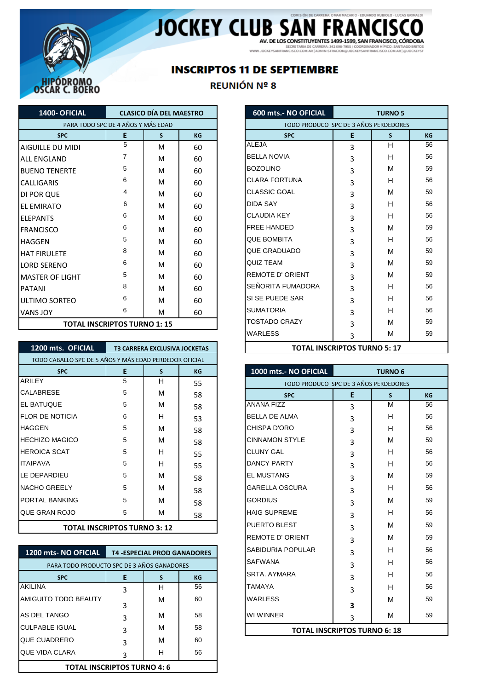

# JOCKEY CLUB SAN FRANCISCO

SECRETARIA DE CARRERA: 342 698-7955 / COORDINADOR HÍPICO: SANTIAGO BRITOS<br>WWW.JOCKEYSANFRANCISCO.COM.AR | ADMINISTRACION@JOCKEYSANFRANCISCO.COM.AR | @JOCKEYSF

## **INSCRIPTOS 11 DE SEPTIEMBRE**

#### REUNIÓN Nº 8

| 1400- OFICIAL           | <b>CLASICO DÍA DEL MAESTRO</b>     |   |           |                         | 600 mts.- NO OFICIAL                  |              |
|-------------------------|------------------------------------|---|-----------|-------------------------|---------------------------------------|--------------|
|                         | PARA TODO SPC DE 4 AÑOS Y MÁS EDAD |   |           |                         | TODO PRODUCO SPC DE 3 AÑOS PERDEDORES |              |
| <b>SPC</b>              | E                                  | S | <b>KG</b> |                         | <b>SPC</b>                            | Ε            |
| <b>AIGUILLE DU MIDI</b> | 5                                  | м | 60        | <b>ALEJA</b>            |                                       | 3            |
| <b>ALL ENGLAND</b>      | 7                                  | M | 60        | <b>BELLA NOVIA</b>      |                                       | 3            |
| <b>I</b> BUENO TENERTE  | 5                                  | м | 60        | <b>BOZOLINO</b>         |                                       | 3            |
| <b>CALLIGARIS</b>       | 6                                  | м | 60        | <b>CLARA FORTUNA</b>    |                                       | 3            |
| <b>DI POR QUE</b>       | 4                                  | M | 60        | <b>CLASSIC GOAL</b>     |                                       | 3            |
| <b>IEL EMIRATO</b>      | 6                                  | M | 60        | <b>DIDA SAY</b>         |                                       | 3            |
| <b>IELEPANTS</b>        | 6                                  | M | 60        | <b>CLAUDIA KEY</b>      |                                       | 3            |
| <b>FRANCISCO</b>        | 6                                  | M | 60        | <b>FREE HANDED</b>      |                                       | 3            |
| <b>HAGGEN</b>           | 5                                  | M | 60        | <b>QUE BOMBITA</b>      |                                       | 3            |
| <b>HAT FIRULETE</b>     | 8                                  | M | 60        | QUE GRADUADO            |                                       | 3            |
| <b>LORD SERENO</b>      | 6                                  | м | 60        | QUIZ TEAM               |                                       | 3            |
| <b>IMASTER OF LIGHT</b> | 5                                  | M | 60        | <b>REMOTE D' ORIENT</b> |                                       | 3            |
| <b>IPATANI</b>          | 8                                  | M | 60        | SEÑORITA FUMADORA       |                                       | 3            |
| IULTIMO SORTEO          | 6                                  | M | 60        | SI SE PUEDE SAR         |                                       | 3            |
| <b>VANS JOY</b>         | 6                                  | м | 60        | <b>SUMATORIA</b>        |                                       | 3            |
|                         | <b>TOTAL INCOPIDTOS THRNO 1.15</b> |   |           | <b>TOSTADO CRAZY</b>    |                                       | $\mathbf{r}$ |

| 1200 mts. OFICIAL                                      |   | <b>T3 CARRERA EXCLUSIVA JOCKETAS</b> |           |
|--------------------------------------------------------|---|--------------------------------------|-----------|
| TODO CABALLO SPC DE 5 AÑOS Y MÁS EDAD PERDEDOR OFICIAL |   |                                      |           |
| <b>SPC</b>                                             | Е | S.                                   | <b>KG</b> |
| <b>ARILEY</b>                                          | 5 | н                                    | 55        |
| <b>CALABRESE</b>                                       | 5 | м                                    | 58        |
| <b>IEL BATUQUE</b>                                     | 5 | М                                    | 58        |
| <b>FLOR DE NOTICIA</b>                                 | 6 | H                                    | 53        |
| <b>IHAGGEN</b>                                         | 5 | м                                    | 58        |
| <b>HECHIZO MAGICO</b>                                  | 5 | М                                    | 58        |
| <b>HEROICA SCAT</b>                                    | 5 | н                                    | 55        |
| <b>ITAIPAVA</b>                                        | 5 | н                                    | 55        |
| LE DEPARDIEU                                           | 5 | М                                    | 58        |
| <b>NACHO GREELY</b>                                    | 5 | м                                    | 58        |
| <b>PORTAL BANKING</b>                                  | 5 | M                                    | 58        |
| <b>QUE GRAN ROJO</b>                                   | 5 | м                                    |           |
| ---------------------                                  |   |                                      | 58        |

#### **TOTAL INSCRIPTOS TURNO 3: 12**

| <b>1200 mts- NO OFICIAL</b>                | <b>T4 -ESPECIAL PROD GANADORES</b> |   |           | <b>SABIDURIA POPULAR</b> | 3                                   | н | 56 |
|--------------------------------------------|------------------------------------|---|-----------|--------------------------|-------------------------------------|---|----|
| PARA TODO PRODUCTO SPC DE 3 AÑOS GANADORES |                                    |   |           | <b>SAFWANA</b>           |                                     | н | 56 |
| <b>SPC</b>                                 |                                    |   | <b>KG</b> | <b>SRTA, AYMARA</b>      | 3                                   | н | 56 |
| <b>AKILINA</b>                             |                                    | н | 56        | <b>TAMAYA</b>            |                                     | Н | 56 |
| <b>AMIGUITO TODO BEAUTY</b>                |                                    | М | 60        | <b>WARLESS</b>           | 3                                   | M | 59 |
| <b>AS DEL TANGO</b>                        | 3                                  | М | 58        | <b>WI WINNER</b>         |                                     | M | 59 |
| <b>ICULPABLE IGUAL</b>                     | ς                                  | М | 58        |                          | <b>TOTAL INSCRIPTOS TURNO 6: 18</b> |   |    |
| <b>QUE CUADRERO</b>                        | ς                                  | М | 60        |                          |                                     |   |    |
| <b>QUE VIDA CLARA</b>                      |                                    | н | 56        |                          |                                     |   |    |
| <b>TOTAL INSCRIPTOS TURNO 4: 6</b>         |                                    |   |           |                          |                                     |   |    |

| <b>OFICIAL</b>                     |                                    | <b>CLASICO DÍA DEL MAESTRO</b>       |    |
|------------------------------------|------------------------------------|--------------------------------------|----|
|                                    | PARA TODO SPC DE 4 AÑOS Y MÁS EDAD |                                      |    |
| <b>SPC</b>                         | E                                  | S                                    | KG |
| u midi                             | 5                                  | М                                    | 60 |
| ND.                                | 7                                  | M                                    | 60 |
| <b>JERTE</b>                       | 5                                  | M                                    | 60 |
|                                    | 6                                  | M                                    | 60 |
|                                    | 4                                  | м                                    | 60 |
|                                    | 6                                  | M                                    | 60 |
|                                    | 6                                  | M                                    | 60 |
|                                    | 6                                  | M                                    | 60 |
|                                    | 5                                  | M                                    | 60 |
| <b>TE</b>                          | 8                                  | M                                    | 60 |
| NΟ                                 | 6                                  | М                                    | 60 |
| <sup>:</sup> LIGHT                 | 5                                  | M                                    | 60 |
|                                    | 8                                  | M                                    | 60 |
| RTEO                               | 6                                  | M                                    | 60 |
|                                    | 6                                  | м                                    | 60 |
| <b>TOTAL INSCRIPTOS TURNO 1:15</b> |                                    |                                      |    |
|                                    |                                    |                                      |    |
| ts. OFICIAL                        |                                    | <b>T3 CARRERA EXCLUSIVA JOCKETAS</b> |    |

|                 | KULUUK UFILIAL       |                         |                                       |                |           |  |  |  |  |
|-----------------|----------------------|-------------------------|---------------------------------------|----------------|-----------|--|--|--|--|
| S.              | KG                   | 1000 mts.- NO OFICIAL   |                                       | <b>TURNO 6</b> |           |  |  |  |  |
| H               | 55                   |                         | TODO PRODUCO SPC DE 3 AÑOS PERDEDORES |                |           |  |  |  |  |
| М               | 58                   | <b>SPC</b>              | E                                     | <sub>S</sub>   | <b>KG</b> |  |  |  |  |
| М               | 58                   | <b>ANANA FIZZ</b>       | 3                                     | м              | 56        |  |  |  |  |
| н               | 53                   | <b>BELLA DE ALMA</b>    | 3                                     | н              | 56        |  |  |  |  |
| м               | 58                   | <b>CHISPA D'ORO</b>     | 3                                     | н              | 56        |  |  |  |  |
| м               | 58                   | <b>CINNAMON STYLE</b>   | 3                                     | M              | 59        |  |  |  |  |
| н               | 55                   | <b>CLUNY GAL</b>        | 3                                     | н              | 56        |  |  |  |  |
| н               | 55                   | <b>DANCY PARTY</b>      | 3                                     | н              | 56        |  |  |  |  |
| м               | 58                   | <b>EL MUSTANG</b>       | 3                                     | M              | 59        |  |  |  |  |
| м               | 58                   | <b>GARELLA OSCURA</b>   | 3                                     | н              | 56        |  |  |  |  |
| м               | 58                   | <b>GORDIUS</b>          | 3                                     | м              | 59        |  |  |  |  |
| М               | 58                   | <b>HAIG SUPREME</b>     | 3                                     | н              | 56        |  |  |  |  |
| : 12            |                      | PUERTO BLEST            | 3                                     | M              | 59        |  |  |  |  |
|                 |                      | <b>REMOTE D' ORIENT</b> | 3                                     | м              | 59        |  |  |  |  |
|                 | <b>ROD GANADORES</b> | SABIDURIA POPULAR       | 3                                     | н              | 56        |  |  |  |  |
| <b>ANADORES</b> |                      | <b>SAFWANA</b>          | 3                                     | н              | 56        |  |  |  |  |
| S.              | KG                   | <b>SRTA, AYMARA</b>     | 3                                     | н              | 56        |  |  |  |  |
| H               | 56                   | TAMAYA                  | 3                                     | H              | 56        |  |  |  |  |
| м               | 60                   | <b>WARLESS</b>          |                                       | M              | 59        |  |  |  |  |
| м               | 58                   | WI WINNER               | 3<br>3                                | м              | 59        |  |  |  |  |
| м               | 58                   |                         |                                       |                |           |  |  |  |  |
|                 |                      |                         | <b>TOTAL INSCRIPTOS TURNO 6: 18</b>   |                |           |  |  |  |  |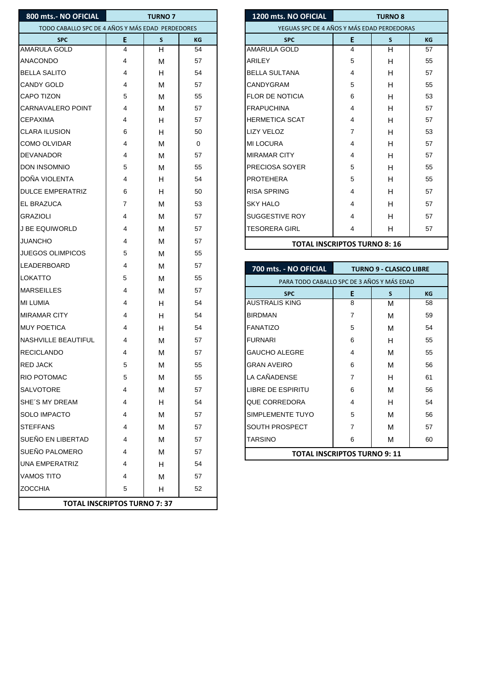| 800 mts.- NO OFICIAL                                                                                                                                                                                                                                                                                           |                | <b>TURNO 7</b> |          | 1200 mts. NO OFICIAL<br><b>TURNO 8</b>     |                |                                |  |
|----------------------------------------------------------------------------------------------------------------------------------------------------------------------------------------------------------------------------------------------------------------------------------------------------------------|----------------|----------------|----------|--------------------------------------------|----------------|--------------------------------|--|
| TODO CABALLO SPC DE 4 AÑOS Y MÁS EDAD PERDEDORES                                                                                                                                                                                                                                                               |                |                |          | YEGUAS SPC DE 4 AÑOS Y MÁS EDAD PERDEDORAS |                |                                |  |
| <b>SPC</b>                                                                                                                                                                                                                                                                                                     | E              | $\mathsf{s}$   | KG       | <b>SPC</b>                                 | E              | $\mathsf{s}$                   |  |
| <b>AMARULA GOLD</b>                                                                                                                                                                                                                                                                                            | $\overline{4}$ | H              | 54       | AMARULA GOLD                               | $\overline{4}$ | H                              |  |
| <b>ANACONDO</b>                                                                                                                                                                                                                                                                                                | 4              | M              | 57       | ARILEY                                     | 5              | H                              |  |
| <b>BELLA SALITO</b>                                                                                                                                                                                                                                                                                            | 4              | H              | 54       | <b>BELLA SULTANA</b>                       | 4              | H                              |  |
| <b>CANDY GOLD</b>                                                                                                                                                                                                                                                                                              | 4              | M              | 57       | CANDYGRAM                                  | 5              | H                              |  |
| <b>CAPO TIZON</b>                                                                                                                                                                                                                                                                                              | 5              | M              | 55       | <b>FLOR DE NOTICIA</b>                     | 6              | H                              |  |
| <b>CARNAVALERO POINT</b>                                                                                                                                                                                                                                                                                       | 4              | М              | 57       | <b>FRAPUCHINA</b>                          | 4              | H                              |  |
| <b>CEPAXIMA</b>                                                                                                                                                                                                                                                                                                | 4              | H              | 57       | <b>HERMETICA SCAT</b>                      | 4              | H                              |  |
| <b>CLARA ILUSION</b>                                                                                                                                                                                                                                                                                           | 6              | H              | 50       | LIZY VELOZ                                 | 7              | H                              |  |
| <b>COMO OLVIDAR</b>                                                                                                                                                                                                                                                                                            | 4              | M              | 0        | <b>MI LOCURA</b>                           | 4              | H                              |  |
| <b>DEVANADOR</b>                                                                                                                                                                                                                                                                                               | 4              | M              | 57       | <b>MIRAMAR CITY</b>                        | 4              | H                              |  |
| <b>DON INSOMNIO</b>                                                                                                                                                                                                                                                                                            | 5              | М              | 55       | PRECIOSA SOYER                             | 5              | H                              |  |
| DOÑA VIOLENTA                                                                                                                                                                                                                                                                                                  | 4              | H              | 54       | <b>PROTEHERA</b>                           | 5              | H                              |  |
| <b>DULCE EMPERATRIZ</b>                                                                                                                                                                                                                                                                                        | 6              | H              | 50       | <b>RISA SPRING</b>                         | 4              | H                              |  |
| <b>IEL BRAZUCA</b>                                                                                                                                                                                                                                                                                             | 7              | М              | 53       | <b>SKY HALO</b>                            | 4              | H                              |  |
| <b>GRAZIOLI</b>                                                                                                                                                                                                                                                                                                | 4              | м              | 57       | <b>SUGGESTIVE ROY</b>                      | 4              | н                              |  |
| J BE EQUIWORLD                                                                                                                                                                                                                                                                                                 | 4              | М              | 57       | <b>TESORERA GIRL</b>                       | 4              | н                              |  |
| <b>JUANCHO</b>                                                                                                                                                                                                                                                                                                 | 4              | М              | 57       | <b>TOTAL INSCRIPTOS TURNO 8: 16</b>        |                |                                |  |
| <b>JUEGOS OLIMPICOS</b>                                                                                                                                                                                                                                                                                        | 5              | М              | 55       |                                            |                |                                |  |
| LEADERBOARD                                                                                                                                                                                                                                                                                                    | 4              | M              | 57       | 700 mts. - NO OFICIAL                      |                | <b>TURNO 9 - CLASICO LIBRE</b> |  |
| LOKATTO                                                                                                                                                                                                                                                                                                        | 5              | М              | 55       | PARA TODO CABALLO SPC DE 3 AÑOS Y MÁS EDAD |                |                                |  |
| <b>MARSEILLES</b>                                                                                                                                                                                                                                                                                              | 4              | M              | 57       | <b>SPC</b>                                 | E              | $\mathsf{s}$                   |  |
| <b>MI LUMIA</b>                                                                                                                                                                                                                                                                                                | 4              | H              | 54       | <b>AUSTRALIS KING</b>                      | 8              | M                              |  |
|                                                                                                                                                                                                                                                                                                                |                |                |          |                                            |                |                                |  |
|                                                                                                                                                                                                                                                                                                                | 4              | H              | 54       | <b>BIRDMAN</b>                             | 7              | M                              |  |
|                                                                                                                                                                                                                                                                                                                | 4              | H              | 54       | <b>FANATIZO</b>                            | 5              | M                              |  |
|                                                                                                                                                                                                                                                                                                                | 4              | M              | 57       | <b>FURNARI</b>                             | 6              | H                              |  |
|                                                                                                                                                                                                                                                                                                                | 4              | M              | 57       | <b>GAUCHO ALEGRE</b>                       | 4              | M                              |  |
|                                                                                                                                                                                                                                                                                                                | 5              | М              | 55       | <b>GRAN AVEIRO</b>                         | 6              | М                              |  |
|                                                                                                                                                                                                                                                                                                                | 5              |                | 55       | LA CAÑADENSE                               | 7              | H                              |  |
|                                                                                                                                                                                                                                                                                                                | 4              | M<br>M         | 57       | <b>LIBRE DE ESPIRITU</b>                   | 6              |                                |  |
|                                                                                                                                                                                                                                                                                                                | 4              |                | 54       |                                            | 4              | M                              |  |
|                                                                                                                                                                                                                                                                                                                | 4              | H              | 57       | QUE CORREDORA                              | 5              | H                              |  |
|                                                                                                                                                                                                                                                                                                                | 4              | М              |          | SIMPLEMENTE TUYO<br><b>SOUTH PROSPECT</b>  | 7              | M                              |  |
|                                                                                                                                                                                                                                                                                                                |                | M              | 57       |                                            |                | M                              |  |
|                                                                                                                                                                                                                                                                                                                | 4              | M              | 57       | <b>TARSINO</b>                             | 6              | м                              |  |
|                                                                                                                                                                                                                                                                                                                | 4              | M              | 57       | <b>TOTAL INSCRIPTOS TURNO 9: 11</b>        |                |                                |  |
|                                                                                                                                                                                                                                                                                                                | 4              | H              | 54       |                                            |                |                                |  |
| <b>MIRAMAR CITY</b><br><b>MUY POETICA</b><br>NASHVILLE BEAUTIFUL<br><b>RECICLANDO</b><br><b>RED JACK</b><br>RIO POTOMAC<br><b>SALVOTORE</b><br>SHE'S MY DREAM<br><b>SOLO IMPACTO</b><br><b>STEFFANS</b><br>SUEÑO EN LIBERTAD<br>SUEÑO PALOMERO<br><b>UNA EMPERATRIZ</b><br><b>VAMOS TITO</b><br><b>ZOCCHIA</b> | 4<br>5         | M<br>H         | 57<br>52 |                                            |                |                                |  |

| <b>NO OFICIAL</b>                           | <b>TURNO 7</b> |    |          | 1200 mts. NO OFICIAL   | <b>TURNO 8</b>                             |   |           |  |
|---------------------------------------------|----------------|----|----------|------------------------|--------------------------------------------|---|-----------|--|
| CABALLO SPC DE 4 AÑOS Y MÁS EDAD PERDEDORES |                |    |          |                        | YEGUAS SPC DE 4 AÑOS Y MÁS EDAD PERDEDORAS |   |           |  |
| <b>SPC</b>                                  | E              | S. | KG       | <b>SPC</b>             | E                                          | S | <b>KG</b> |  |
| <b>OLD</b>                                  | 4              | Н  | 54       | <b>AMARULA GOLD</b>    | 4                                          | H | 57        |  |
|                                             | 4              | M  | 57       | <b>ARILEY</b>          | 5                                          | H | 55        |  |
| TO                                          | 4              | H  | 54       | <b>BELLA SULTANA</b>   | 4                                          | H | 57        |  |
| .D                                          | 4              | M  | 57       | CANDYGRAM              | 5                                          | H | 55        |  |
| 4                                           | 5              | М  | 55       | <b>FLOR DE NOTICIA</b> | 6                                          | H | 53        |  |
| <b>ERO POINT</b>                            | 4              | M  | 57       | <b>FRAPUCHINA</b>      | 4                                          | H | 57        |  |
|                                             | 4              | Н  | 57       | <b>HERMETICA SCAT</b>  | 4                                          | H | 57        |  |
| <b>ION</b>                                  | 6              | Н  | 50       | <b>LIZY VELOZ</b>      | 7                                          | H | 53        |  |
| <b>DAR</b>                                  | 4              | M  | $\Omega$ | <b>MI LOCURA</b>       | 4                                          | H | 57        |  |
| R.                                          | 4              | M  | 57       | <b>MIRAMAR CITY</b>    | 4                                          | H | 57        |  |
| <b>NIO</b>                                  | 5              | M  | 55       | PRECIOSA SOYER         | 5                                          | H | 55        |  |
| ENTA                                        | 4              | н  | 54       | <b>PROTEHERA</b>       | 5                                          | H | 55        |  |
| <b>ERATRIZ</b>                              | 6              | H  | 50       | <b>RISA SPRING</b>     | 4                                          | H | 57        |  |
| Α                                           | $\overline{7}$ | M  | 53       | <b>SKY HALO</b>        | 4                                          | H | 57        |  |
|                                             | 4              | M  | 57       | SUGGESTIVE ROY         | 4                                          | H | 57        |  |
| <b>ORLD</b>                                 | 4              | M  | 57       | <b>TESORERA GIRL</b>   | 4                                          | H | 57        |  |
|                                             | 4              | M  | 57       |                        | <b>TOTAL INSCRIPTOS TURNO 8: 16</b>        |   |           |  |

| 700 mts. - NO OFICIAL                      | <b>TURNO 9 - CLASICO LIBRE</b> |   |           |  |  |  |  |  |
|--------------------------------------------|--------------------------------|---|-----------|--|--|--|--|--|
| PARA TODO CABALLO SPC DE 3 AÑOS Y MÁS EDAD |                                |   |           |  |  |  |  |  |
| <b>SPC</b>                                 | E                              | S | <b>KG</b> |  |  |  |  |  |
| <b>AUSTRALIS KING</b>                      | 8                              | м | 58        |  |  |  |  |  |
| <b>BIRDMAN</b>                             | 7                              | M | 59        |  |  |  |  |  |
| <b>FANATIZO</b>                            | 5                              | M | 54        |  |  |  |  |  |
| <b>FURNARI</b>                             | 6                              | н | 55        |  |  |  |  |  |
| <b>GAUCHO ALEGRE</b>                       | 4                              | М | 55        |  |  |  |  |  |
| <b>GRAN AVEIRO</b>                         | 6                              | M | 56        |  |  |  |  |  |
| LA CAÑADENSE                               | 7                              | н | 61        |  |  |  |  |  |
| <b>LIBRE DE ESPIRITU</b>                   | 6                              | М | 56        |  |  |  |  |  |
| <b>QUE CORREDORA</b>                       | 4                              | н | 54        |  |  |  |  |  |
| SIMPLEMENTE TUYO                           | 5                              | M | 56        |  |  |  |  |  |
| SOUTH PROSPECT                             | 7                              | М | 57        |  |  |  |  |  |
| <b>TARSINO</b>                             | 6                              | М | 60        |  |  |  |  |  |
| <b>TOTAL INSCRIPTOS TURNO 9: 11</b>        |                                |   |           |  |  |  |  |  |